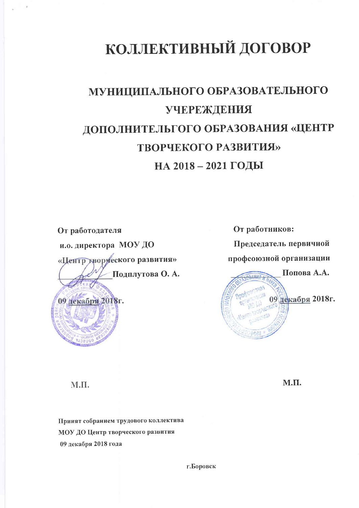# КОЛЛЕКТИВНЫЙ ДОГОВОР

## МУНИЦИПАЛЬНОГО ОБРАЗОВАТЕЛЬНОГО **УЧЕРЕЖДЕНИЯ** ДОПОЛНИТЕЛЬГОГО ОБРАЗОВАНИЯ «ЦЕНТР **ТВОРЧЕКОГО РАЗВИТИЯ»** НА 2018-2021 ГОДЫ

От работодателя

09 декабря 2018г.

и.о. директора МОУ ДО

«Центр творуеского развития» Подплутова О. А.

От работников: Председатель первичной профсоюзной организации Попова А.А. 09 декабря 2018г.

М.П.

М.П.

Принят собранием трудового коллектива МОУ ДО Центр творческого развития 09 декабря 2018 года

г.Боровск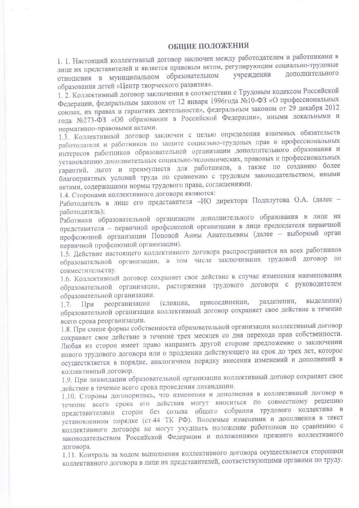### **ОБЩИЕ ПОЛОЖЕНИЯ**

1. 1. Настоящий коллективный договор заключен между работодателем и работниками в лице их представителей и является правовым актом, регулирующим социально-трудовые лополнительного отношения в муниципальном образовательном үчреждении образования детей «Центр творческого развития».

1. 2. Коллективный договор заключении в соответствии с Трудовым кодексом Российской Федерации, федеральным законом от 12 января 1996года №10-ФЗ «О профессиональных союзах, их правах и гарантиях деятельности», федеральным законом от 29 декабря 2012 года №273-ФЗ «Об образовании в Российской Федерации», иными локальными и нормативно-правовыми актами.

1.3. Коллективный договор заключен с целью определения взаимных обязательств работодателя и работников по защите социально-трудовых прав и профессиональных интересов работников образовательной организации дополнительного образования и установлению дополнительных социально-экономических, правовых и профессиональных гарантий, льгот и преимуществ для работников, а также по созданию более благоприятных условий труда по сравнению с трудовым законодательством, иными актами, содержащими нормы трудового права, соглашениями.

1.4. Сторонами коллективного договора являются:

Работодатель в лице его представителя -ИО директора Подплутова О.А. (далее работодатель);

Работники образовательной организации дополнительного образования в лице их представителя - первичной профсоюзной организации в лице председателя первичной профсоюзной организации Поповой Анны Анатольевны (далее - выборный орган первичной профсоюзной организации).

1.5. Действие настоящего коллективного договора распространяется на всех работников образовательной организации, в том числе заключивших трудовой договор по совместительству.

1.6. Коллективный договор сохраняет свое действие в случае изменения наименования образовательной организации, расторжения трудового договора с руководителем образовательной организации.

разделении, выделении) присоединении, реорганизации (слиянии,  $1.7.$ При образовательной организации коллективный договор сохраняет свое действие в течение всего срока реорганизации.

1.8. При смене формы собственности образовательной организации коллективный договор сохраняет свое действие в течение трех месяцев со дня перехода прав собственности. Любая из сторон имеет право направить другой стороне предложение о заключении нового трудового договора или о продлении действующего на срок до трех лет, которое осуществляется в порядке, аналогичном порядку внесения изменений и дополнений в коллективный договор.

1.9. При ликвидации образовательной организации коллективный договор сохраняет свое действие в течение всего срока проведения ликвидации.

1.10. Стороны договорились, что изменения и дополнения в коллективный договор в течение всего срока его действия могут вноситься по совместному решению представителями сторон без созыва общего собрания трудового коллектива в установленном порядке (ст.44 ТК РФ). Вносимые изменения и дополнения в текст коллективного договора не могут ухудшать положение работников по сравнению с законодательством Российской Федерации и положениями прежнего коллективного логовора.

1.11. Контроль за ходом выполнения коллективного договора осуществляется сторонами коллективного договора в лице их представителей, соответствующими органами по труду.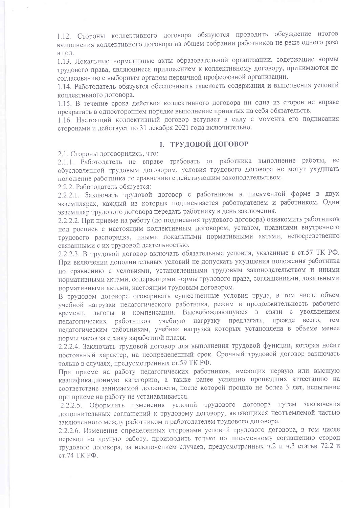1.12. Стороны коллективного договора обязуются проводить обсуждение итогов выполнения коллективного договора на общем собрании работников не реже одного раза в год.

1.13. Локальные нормативные акты образовательной организации, содержащие нормы трудового права, являющиеся приложением к коллективному договору, принимаются по согласованию с выборным органом первичной профсоюзной организации.

1.14. Работодатель обязуется обеспечивать гласность содержания и выполнения условий коллективного договора.

1.15. В течение срока действия коллективного договора ни одна из сторон не вправе прекратить в одностороннем порядке выполнение принятых на себя обязательств.

1.16. Настоящий коллективный договор вступает в силу с момента его подписания сторонами и действует по 31 декабря 2021 года включительно.

## І. ТРУДОВОЙ ДОГОВОР

2.1. Стороны договорились, что:

2.1.1. Работодатель не вправе требовать от работника выполнение работы, не обусловленной трудовым договором, условия трудового договора не могут ухудшать положение работника по сравнению с действующим законодательством.

2.2.2. Работодатель обязуется:

2.2.2.1. Заключать трудовой договор с работником в письменной форме в двух экземплярах, каждый из которых подписывается работодателем и работником. Один экземпляр трудового договора передать работнику в день заключения.

2.2.2.2. При приеме на работу (до подписания трудового договора) ознакомить работников под роспись с настоящим коллективным договором, уставом, правилами внутреннего трудового распорядка, иными локальными нормативными актами, непосредственно связанными с их трудовой деятельностью.

2.2.2.3. В трудовой договор включать обязательные условия, указанные в ст.57 ТК РФ. При включении дополнительных условий не допускать ухудшения положения работника по сравнению с условиями, установленными трудовым законодательством и иными нормативными актами, содержащими нормы трудового права, соглашениями, локальными нормативными актами, настоящим трудовым договором.

В трудовом договоре оговаривать существенные условия труда, в том числе объем учебной нагрузки педагогического работника, режим и продолжительность рабочего времени, льготы и компенсации. Высвобождающуюся в связи с увольнением педагогических работников учебную нагрузку предлагать, прежде всего, тем педагогическим работникам, учебная нагрузка которых установлена в объеме менее нормы часов за ставку заработной платы.

2.2.2.4. Заключать трудовой договор для выполнения трудовой функции, которая носит постоянный характер, на неопределенный срок. Срочный трудовой договор заключать только в случаях, предусмотренных ст.59 ТК РФ.

При приеме на работу педагогических работников, имеющих первую или высшую квалификационную категорию, а также ранее успешно прошедших аттестацию на соответствие занимаемой должности, после которой прошло не более 3 лет, испытание при приеме на работу не устанавливается.

2.2.2.5. Оформлять изменения условий трудового договора путем заключения дополнительных соглашений к трудовому договору, являющихся неотъемлемой частью заключенного между работником и работодателем трудового договора.

2.2.2.6. Изменение определенных сторонами условий трудового договора, в том числе перевод на другую работу, производить только по письменному соглашению сторон трудового договора, за исключением случаев, предусмотренных ч.2 и ч.3 статьи 72.2 и ст. 74 ТК РФ.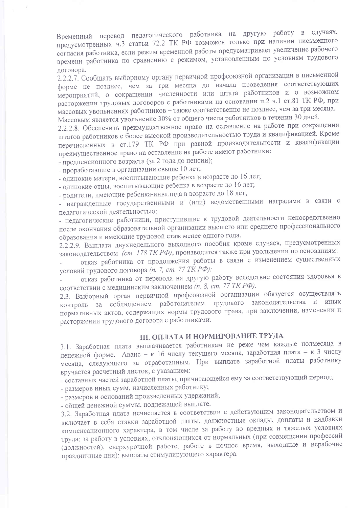Временный перевод педагогического работника на другую работу в случаях, предусмотренных ч.3 статьи 72.2 ТК РФ возможен только при наличии письменного согласия работника, если режим временной работы предусматривает увеличение рабочего времени работника по сравнению с режимом, установленным по условиям трудового договора.

2.2.2.7. Сообщать выборному органу первичной профсоюзной организации в письменной форме не позднее, чем за три месяца до начала проведения соответствующих мероприятий, о сокращении численности или штата работников и о возможном расторжении трудовых договоров с работниками на основании п.2 ч.1 ст.81 ТК РФ, при массовых увольнениях работников - также соответственно не позднее, чем за три месяца. Массовым является увольнение 30% от общего числа работников в течении 30 дней.

2.2.2.8. Обеспечить преимущественное право на оставление на работе при сокращении штатов работников с более высокой производительностью труда и квалификацией. Кроме перечисленных в ст.179 ТК РФ при равной производительности и квалификации преимущественное право на оставление на работе имеют работники:

- предпенсионного возраста (за 2 года до пенсии);

- проработавшие в организации свыше 10 лет;

- одинокие матери, воспитывающие ребенка в возрасте до 16 лет;

- одинокие отцы, воспитывающие ребенка в возрасте до 16 лет;

- родители, имеющие ребенка-инвалида в возрасте до 18 лет;

- награжденные государственными и (или) ведомственными наградами в связи с педагогической деятельностью;

- педагогические работники, приступившие к трудовой деятельности непосредственно после окончания образовательной организации высшего или среднего профессионального образования и имеющие трудовой стаж менее одного года.

2.2.2.9. Выплата двухнедельного выходного пособия кроме случаев, предусмотренных законодательством (ст. 178 ТК РФ), производится также при увольнении по основаниям:

отказ работника от продолжения работы в связи с изменением существенных условий трудового договора (п. 7, ст. 77 ТК РФ);

отказ работника от перевода на другую работу вследствие состояния здоровья в соответствии с медицинским заключением (п. 8, ст. 77 ТК РФ).

2.3. Выборный орган первичной профсоюзной организации обязуется осуществлять контроль за соблюдением работодателем трудового законодательства и иных нормативных актов, содержащих нормы трудового права, при заключении, изменении и расторжении трудового договора с работниками.

## **III. ОПЛАТА И НОРМИРОВАНИЕ ТРУДА**

3.1. Заработная плата выплачивается работникам не реже чем каждые полмесяца в денежной форме. Аванс - к 16 числу текущего месяца, заработная плата - к 3 числу месяца, следующего за отработанным. При выплате заработной платы работнику вручается расчетный листок, с указанием:

- составных частей заработной платы, причитающейся ему за соответствующий период;

- размеров иных сумм, начисленных работнику;

- размеров и оснований произведенных удержаний;

- общей денежной суммы, подлежащей выплате.

3.2. Заработная плата исчисляется в соответствии с действующим законодательством и включает в себя ставки заработной платы, должностные оклады, доплаты и надбавки компенсационного характера, в том числе за работу во вредных и тяжелых условиях труда; за работу в условиях, отклоняющихся от нормальных (при совмещении профессий (должностей), сверхурочной работе, работе в ночное время, выходные и нерабочие праздничные дни); выплаты стимулирующего характера.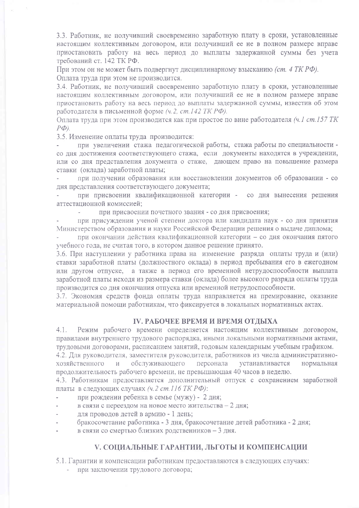3.3. Работник, не получивший своевременно заработную плату в сроки, установленные настоящим коллективным договором, или получивший ее не в полном размере вправе приостановить работу на весь период до выплаты задержанной суммы без учета требований ст. 142 ТК РФ.

При этом он не может быть подвергнут дисциплинарному взысканию (ст. 4 ТК РФ). Оплата труда при этом не производится.

3.4. Работник, не получивший своевременно заработную плату в сроки, установленные настоящим коллективным договором, или получивший ее не в полном размере вправе приостановить работу на весь период до выплаты задержанной суммы, известив об этом работодателя в письменной форме (ч.2, ст. 142 ТК РФ).

Оплата труда при этом производится как при простое по вине работодателя (ч.1 ст. 157 ТК  $P\Phi$ ).

3.5. Изменение оплаты труда производится:

при увеличении стажа педагогической работы, стажа работы по специальности со дня достижения соответствующего стажа, если документы находятся в учреждении, или со дня представления документа о стаже, дающем право на повышение размера ставки (оклада) заработной платы:

при получении образования или восстановлении документов об образовании - со дня представления соответствующего документа;

при присвоении квалификационной категории - со дня вынесения решения аттестанионной комиссией:

при присвоении почетного звания - со дня присвоения;  $\mathcal{L}^{\mathrm{max}}$ 

при присуждении ученой степени доктора или кандидата наук - со дня принятия Министерством образования и науки Российской Федерации решения о выдаче диплома;

при окончании действия квалификационной категории - со дня окончания пятого учебного года, не считая того, в котором данное решение принято.

3.6. При наступлении у работника права на изменение разряда оплаты труда и (или) ставки заработной платы (должностного оклада) в период пребывания его в ежегодном или другом отпуске, а также в период его временной нетрудоспособности выплата заработной платы исходя из размера ставки (оклада) более высокого разряда оплаты труда производится со дня окончания отпуска или временной нетрудоспособности.

3.7. Экономия средств фонда оплаты труда направляется на премирование, оказание материальной помощи работникам, что фиксируется в локальных нормативных актах.

### **IV. РАБОЧЕЕ ВРЕМЯ И ВРЕМЯ ОТДЫХА**

Режим рабочего времени определяется настоящим коллективным договором,  $4.1$ правилами внутреннего трудового распорядка, иными локальными нормативными актами, трудовыми договорами, расписанием занятий, годовым календарным учебным графиком.

4.2. Для руководителя, заместителя руководителя, работников из числа административнообслуживающего персонала хозяйственного  $\overline{M}$ устанавливается нормальная продолжительность рабочего времени, не превышающая 40 часов в неделю.

4.3. Работникам предоставляется дополнительный отпуск с сохранением заработной платы в следующих случаях (ч.2 ст. 116 ТК РФ):

- при рождении ребенка в семье (мужу) 2 дня;
- в связи с переездом на новое место жительства 2 дня;
- для проводов детей в армию 1 день;
- бракосочетание работника 3 дня, бракосочетание детей работника 2 дня;
- в связи со смертью близких родственников 3 дня.

#### V. СОЦИАЛЬНЫЕ ГАРАНТИИ, ЛЬГОТЫ И КОМПЕНСАЦИИ

5.1. Гарантии и компенсации работникам предоставляются в следующих случаях:

- при заключении трудового договора;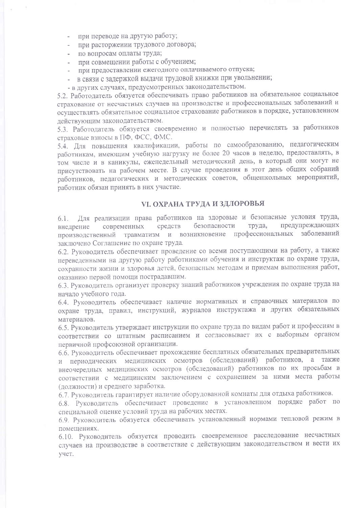- при переводе на другую работу;
- при расторжении трудового договора;  $\sim$
- по вопросам оплаты труда;
- при совмещении работы с обучением;
- при предоставлении ежегодного оплачиваемого отпуска;
- в связи с задержкой выдачи трудовой книжки при увольнении;
- в других случаях, предусмотренных законодательством.

5.2. Работодатель обязуется обеспечивать право работников на обязательное социальное страхование от несчастных случаев на производстве и профессиональных заболеваний и осуществлять обязательное социальное страхование работников в порядке, установленном лействующим законодательством.

5.3. Работодатель обязуется своевременно и полностью перечислять за работников страховые взносы в ПФ, ФСС, ФМС.

5.4. Для повышения квалификации, работы по самообразованию, педагогическим работникам, имеющим учебную нагрузку не более 20 часов в неделю, предоставлять, в том числе и в каникулы, еженедельный методический день, в который они могут не присутствовать на рабочем месте. В случае проведения в этот день общих собраний работников, педагогических и методических советов, общешкольных мероприятий, работник обязан принять в них участие.

## **VI. ОХРАНА ТРУДА И ЗДЛОРОВЬЯ**

6.1. Для реализации права работников на здоровые и безопасные условия труда, предупреждающих безопасности труда, современных средств внедрение производственный травматизм и возникновение профессиональных заболеваний заключено Соглашение по охране труда.

6.2. Руководитель обеспечивает проведение со всеми поступающими на работу, а также переведенными на другую работу работниками обучения и инструктаж по охране труда, сохранности жизни и здоровья детей, безопасным методам и приемам выполнения работ, оказанию первой помощи пострадавшим.

6.3. Руководитель организует проверку знаний работников учреждения по охране труда на начало учебного года.

6.4. Руководитель обеспечивает наличие нормативных и справочных материалов по охране труда, правил, инструкций, журналов инструктажа и других обязательных материалов.

6.5. Руководитель утверждает инструкции по охране труда по видам работ и профессиям в соответствии со штатным расписанием и согласовывает их с выборным органом первичной профсоюзной организации.

6.6. Руководитель обеспечивает прохождение бесплатных обязательных предварительных и периодических медицинских осмотров (обследований) работников, а также внеочередных медицинских осмотров (обследований) работников по их просьбам в соответствии с медицинским заключением с сохранением за ними места работы (должности) и среднего заработка.

6.7. Руководитель гарантирует наличие оборудованной комнаты для отдыха работников.

6.8. Руководитель обеспечивает проведение в установленном порядке работ по специальной оценке условий труда на рабочих местах.

6.9. Руководитель обязуется обеспечивать установленный нормами тепловой режим в помещениях.

6.10. Руководитель обязуется проводить своевременное расследование несчастных случаев на производстве в соответствие с действующим законодательством и вести их учет.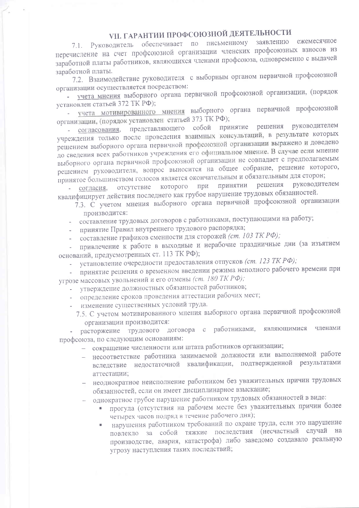## VII. ГАРАНТИИ ПРОФСОЮЗНОЙ ДЕЯТЕЛЬНОСТИ

7.1. Руководитель обеспечивает по письменному заявлению ежемесячное перечисление на счет профсоюзной организации членских профсоюзных взносов из заработной платы работников, являющихся членами профсоюза, одновременно с выдачей заработной платы.

7.2. Взаимодействие руководителя с выборным органом первичной профсоюзной организации осуществляется посредством:

- учета мнения выборного органа первичной профсоюзной организации, (порядок установлен статьей 372 ТК РФ);

- учета мотивированного мнения выборного органа первичной профсоюзной организации, (порядок установлен статьей 373 ТК РФ);

принятие решения руководителем - согласования, представляющего собой учреждения только после проведения взаимных консультаций, в результате которых решением выборного органа первичной профсоюзной организации выражено и доведено до сведения всех работников учреждения его официальное мнение. В случае если мнение выборного органа первичной профсоюзной организации не совпадает с предполагаемым решением руководителя, вопрос выносится на общее собрание, решение которого, принятое большинством голосов является окончательным и обязательным для сторон;

решения руководителем отсутствие которого при принятии - согласия, квалифицирует действия последнего как грубое нарушение трудовых обязанностей.

7.3. С учетом мнения выборного органа первичной профсоюзной организации производится:

- составление трудовых договоров с работниками, поступающими на работу;

- принятие Правил внутреннего трудового распорядка;

- составление графиков сменности для сторожей (ст. 103 ТК РФ);

привлечение к работе в выходные и нерабочие праздничные дни (за изъятием оснований, предусмотренных ст. 113 ТК РФ);

установление очередности предоставления отпусков (ст. 123 ТК РФ);

- принятие решения о временном введении режима неполного рабочего времени при угрозе массовых увольнений и его отмены (ст. 180 ТК РФ);

- утверждение должностных обязанностей работников;
- определение сроков проведения аттестации рабочих мест;
- изменение существенных условий труда.
	- 7.5. С учетом мотивированного мнения выборного органа первичной профсоюзной организации производится:

расторжение трудового договора с работниками, являющимися членами профсоюза, по следующим основаниям:

- сокращение численности или штата работников организации;

- несоответствие работника занимаемой должности или выполняемой работе вследствие недостаточной квалификации, подтвержденной результатами аттестации;
- неоднократное неисполнение работником без уважительных причин трудовых обязанностей, если он имеет дисциплинарное взыскание;

- однократное грубое нарушение работником трудовых обязанностей в виде:

- прогула (отсутствия на рабочем месте без уважительных причин более четырех часов подряд в течение рабочего дня);
- нарушения работником требований по охране труда, если это нарушение повлекло за собой тяжкие последствия (несчастный случай на производстве, авария, катастрофа) либо заведомо создавало реальную угрозу наступления таких последствий;